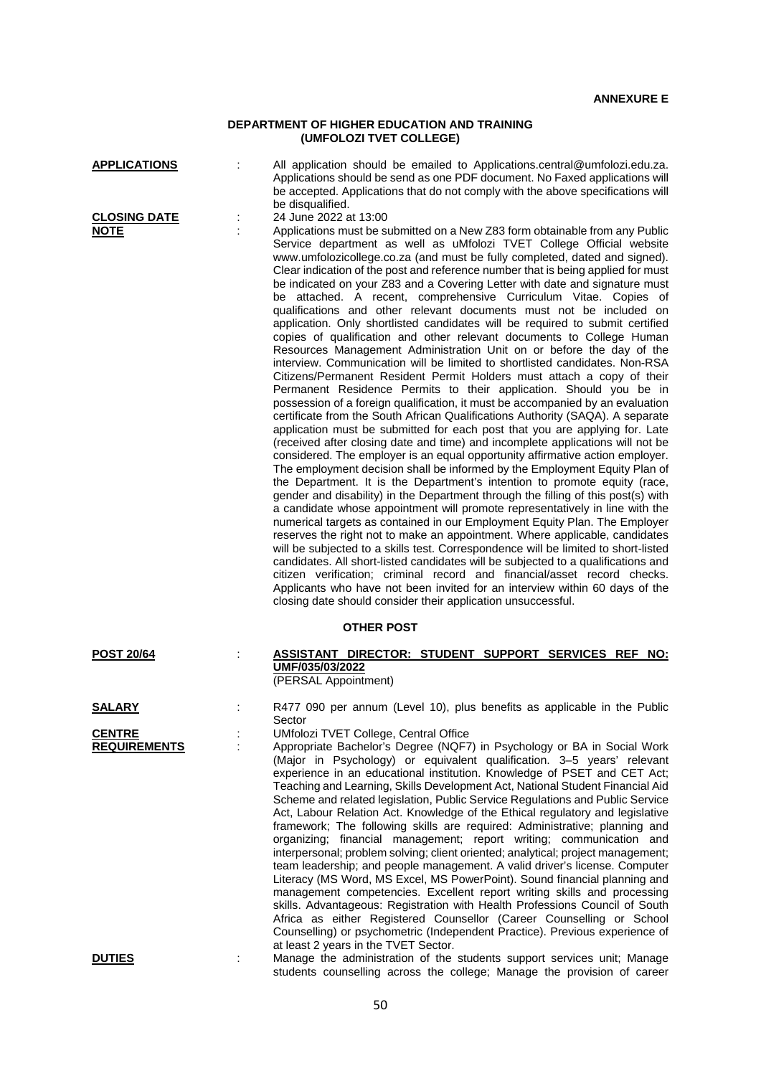## **DEPARTMENT OF HIGHER EDUCATION AND TRAINING (UMFOLOZI TVET COLLEGE)**

| <b>APPLICATIONS</b>                  |   | All application should be emailed to Applications.central@umfolozi.edu.za.<br>Applications should be send as one PDF document. No Faxed applications will<br>be accepted. Applications that do not comply with the above specifications will<br>be disqualified.                                                                                                                                                                                                                                                                                                                                                                                                                                                                                                                                                                                                                                                                                                                                                                                                                                                                                                                                                                                                                                                                                                                                                                                                                                                                                                                                                                                                                                                                                                                                                                                                                                                                                                                                                                                                                                                                                                                                                                                                                                                                                                   |
|--------------------------------------|---|--------------------------------------------------------------------------------------------------------------------------------------------------------------------------------------------------------------------------------------------------------------------------------------------------------------------------------------------------------------------------------------------------------------------------------------------------------------------------------------------------------------------------------------------------------------------------------------------------------------------------------------------------------------------------------------------------------------------------------------------------------------------------------------------------------------------------------------------------------------------------------------------------------------------------------------------------------------------------------------------------------------------------------------------------------------------------------------------------------------------------------------------------------------------------------------------------------------------------------------------------------------------------------------------------------------------------------------------------------------------------------------------------------------------------------------------------------------------------------------------------------------------------------------------------------------------------------------------------------------------------------------------------------------------------------------------------------------------------------------------------------------------------------------------------------------------------------------------------------------------------------------------------------------------------------------------------------------------------------------------------------------------------------------------------------------------------------------------------------------------------------------------------------------------------------------------------------------------------------------------------------------------------------------------------------------------------------------------------------------------|
| <b>CLOSING DATE</b><br><u>NOTE</u>   | ÷ | 24 June 2022 at 13:00<br>Applications must be submitted on a New Z83 form obtainable from any Public<br>Service department as well as uMfolozi TVET College Official website<br>www.umfolozicollege.co.za (and must be fully completed, dated and signed).<br>Clear indication of the post and reference number that is being applied for must<br>be indicated on your Z83 and a Covering Letter with date and signature must<br>be attached. A recent, comprehensive Curriculum Vitae. Copies of<br>qualifications and other relevant documents must not be included on<br>application. Only shortlisted candidates will be required to submit certified<br>copies of qualification and other relevant documents to College Human<br>Resources Management Administration Unit on or before the day of the<br>interview. Communication will be limited to shortlisted candidates. Non-RSA<br>Citizens/Permanent Resident Permit Holders must attach a copy of their<br>Permanent Residence Permits to their application. Should you be in<br>possession of a foreign qualification, it must be accompanied by an evaluation<br>certificate from the South African Qualifications Authority (SAQA). A separate<br>application must be submitted for each post that you are applying for. Late<br>(received after closing date and time) and incomplete applications will not be<br>considered. The employer is an equal opportunity affirmative action employer.<br>The employment decision shall be informed by the Employment Equity Plan of<br>the Department. It is the Department's intention to promote equity (race,<br>gender and disability) in the Department through the filling of this post(s) with<br>a candidate whose appointment will promote representatively in line with the<br>numerical targets as contained in our Employment Equity Plan. The Employer<br>reserves the right not to make an appointment. Where applicable, candidates<br>will be subjected to a skills test. Correspondence will be limited to short-listed<br>candidates. All short-listed candidates will be subjected to a qualifications and<br>citizen verification; criminal record and financial/asset record checks.<br>Applicants who have not been invited for an interview within 60 days of the<br>closing date should consider their application unsuccessful. |
| <b>OTHER POST</b>                    |   |                                                                                                                                                                                                                                                                                                                                                                                                                                                                                                                                                                                                                                                                                                                                                                                                                                                                                                                                                                                                                                                                                                                                                                                                                                                                                                                                                                                                                                                                                                                                                                                                                                                                                                                                                                                                                                                                                                                                                                                                                                                                                                                                                                                                                                                                                                                                                                    |
| <b>POST 20/64</b>                    |   | ASSISTANT DIRECTOR: STUDENT SUPPORT SERVICES REF NO:<br>UMF/035/03/2022<br>(PERSAL Appointment)                                                                                                                                                                                                                                                                                                                                                                                                                                                                                                                                                                                                                                                                                                                                                                                                                                                                                                                                                                                                                                                                                                                                                                                                                                                                                                                                                                                                                                                                                                                                                                                                                                                                                                                                                                                                                                                                                                                                                                                                                                                                                                                                                                                                                                                                    |
| SALARY                               |   | R477 090 per annum (Level 10), plus benefits as applicable in the Public                                                                                                                                                                                                                                                                                                                                                                                                                                                                                                                                                                                                                                                                                                                                                                                                                                                                                                                                                                                                                                                                                                                                                                                                                                                                                                                                                                                                                                                                                                                                                                                                                                                                                                                                                                                                                                                                                                                                                                                                                                                                                                                                                                                                                                                                                           |
| <b>CENTRE</b><br><b>REQUIREMENTS</b> |   | Sector<br>UMfolozi TVET College, Central Office<br>Appropriate Bachelor's Degree (NQF7) in Psychology or BA in Social Work<br>(Major in Psychology) or equivalent qualification. 3-5 years' relevant<br>experience in an educational institution. Knowledge of PSET and CET Act;<br>Teaching and Learning, Skills Development Act, National Student Financial Aid<br>Scheme and related legislation, Public Service Regulations and Public Service<br>Act, Labour Relation Act. Knowledge of the Ethical regulatory and legislative<br>framework; The following skills are required: Administrative; planning and<br>organizing; financial management; report writing; communication and<br>interpersonal; problem solving; client oriented; analytical; project management;<br>team leadership; and people management. A valid driver's license. Computer<br>Literacy (MS Word, MS Excel, MS PowerPoint). Sound financial planning and<br>management competencies. Excellent report writing skills and processing<br>skills. Advantageous: Registration with Health Professions Council of South<br>Africa as either Registered Counsellor (Career Counselling or School<br>Counselling) or psychometric (Independent Practice). Previous experience of<br>at least 2 years in the TVET Sector.                                                                                                                                                                                                                                                                                                                                                                                                                                                                                                                                                                                                                                                                                                                                                                                                                                                                                                                                                                                                                                                                   |
| <b>DUTIES</b>                        |   | Manage the administration of the students support services unit; Manage                                                                                                                                                                                                                                                                                                                                                                                                                                                                                                                                                                                                                                                                                                                                                                                                                                                                                                                                                                                                                                                                                                                                                                                                                                                                                                                                                                                                                                                                                                                                                                                                                                                                                                                                                                                                                                                                                                                                                                                                                                                                                                                                                                                                                                                                                            |

50

students counselling across the college; Manage the provision of career